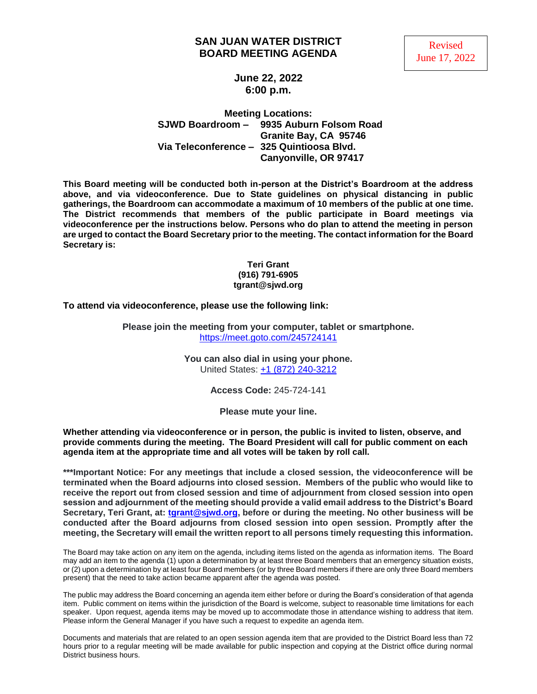### **SAN JUAN WATER DISTRICT BOARD MEETING AGENDA**



**June 22, 2022 6:00 p.m.**

**Meeting Locations: SJWD Boardroom – 9935 Auburn Folsom Road Granite Bay, CA 95746 Via Teleconference – 325 Quintioosa Blvd. Canyonville, OR 97417**

**This Board meeting will be conducted both in-person at the District's Boardroom at the address above, and via videoconference. Due to State guidelines on physical distancing in public gatherings, the Boardroom can accommodate a maximum of 10 members of the public at one time. The District recommends that members of the public participate in Board meetings via videoconference per the instructions below. Persons who do plan to attend the meeting in person are urged to contact the Board Secretary prior to the meeting. The contact information for the Board Secretary is:**

#### **Teri Grant (916) 791-6905 tgrant@sjwd.org**

**To attend via videoconference, please use the following link:**

**Please join the meeting from your computer, tablet or smartphone.** <https://meet.goto.com/245724141>

> **You can also dial in using your phone.** United States: [+1 \(872\) 240-3212](tel:+18722403212,,245724141)

> > **Access Code:** 245-724-141

**Please mute your line.**

**Whether attending via videoconference or in person, the public is invited to listen, observe, and provide comments during the meeting. The Board President will call for public comment on each agenda item at the appropriate time and all votes will be taken by roll call.** 

**\*\*\*Important Notice: For any meetings that include a closed session, the videoconference will be terminated when the Board adjourns into closed session. Members of the public who would like to receive the report out from closed session and time of adjournment from closed session into open session and adjournment of the meeting should provide a valid email address to the District's Board Secretary, Teri Grant, at: [tgrant@sjwd.org,](mailto:tgrant@sjwd.org) before or during the meeting. No other business will be conducted after the Board adjourns from closed session into open session. Promptly after the meeting, the Secretary will email the written report to all persons timely requesting this information.**

The Board may take action on any item on the agenda, including items listed on the agenda as information items. The Board may add an item to the agenda (1) upon a determination by at least three Board members that an emergency situation exists, or (2) upon a determination by at least four Board members (or by three Board members if there are only three Board members present) that the need to take action became apparent after the agenda was posted.

The public may address the Board concerning an agenda item either before or during the Board's consideration of that agenda item. Public comment on items within the jurisdiction of the Board is welcome, subject to reasonable time limitations for each speaker. Upon request, agenda items may be moved up to accommodate those in attendance wishing to address that item. Please inform the General Manager if you have such a request to expedite an agenda item.

Documents and materials that are related to an open session agenda item that are provided to the District Board less than 72 hours prior to a regular meeting will be made available for public inspection and copying at the District office during normal District business hours.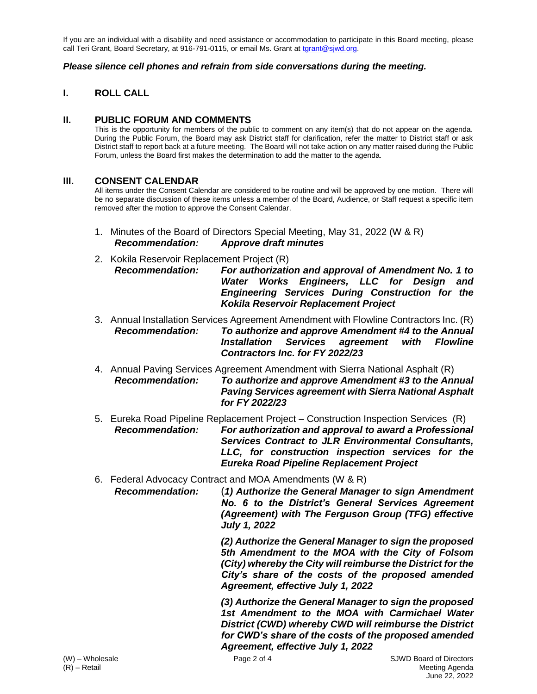If you are an individual with a disability and need assistance or accommodation to participate in this Board meeting, please call Teri Grant, Board Secretary, at 916-791-0115, or email Ms. Grant at [tgrant@sjwd.org.](mailto:tgrant@sjwd.org)

#### *Please silence cell phones and refrain from side conversations during the meeting.*

## **I. ROLL CALL**

### **II. PUBLIC FORUM AND COMMENTS**

This is the opportunity for members of the public to comment on any item(s) that do not appear on the agenda. During the Public Forum, the Board may ask District staff for clarification, refer the matter to District staff or ask District staff to report back at a future meeting. The Board will not take action on any matter raised during the Public Forum, unless the Board first makes the determination to add the matter to the agenda.

### **III. CONSENT CALENDAR**

All items under the Consent Calendar are considered to be routine and will be approved by one motion. There will be no separate discussion of these items unless a member of the Board, Audience, or Staff request a specific item removed after the motion to approve the Consent Calendar.

- 1. Minutes of the Board of Directors Special Meeting, May 31, 2022 (W & R) *Recommendation: Approve draft minutes*
- 2. Kokila Reservoir Replacement Project (R) *Recommendation: For authorization and approval of Amendment No. 1 to Water Works Engineers, LLC for Design and Engineering Services During Construction for the Kokila Reservoir Replacement Project*
- 3. Annual Installation Services Agreement Amendment with Flowline Contractors Inc. (R) *Recommendation: To authorize and approve Amendment #4 to the Annual Installation Services agreement with Flowline Contractors Inc. for FY 2022/23*
- 4. Annual Paving Services Agreement Amendment with Sierra National Asphalt (R) *Recommendation: To authorize and approve Amendment #3 to the Annual Paving Services agreement with Sierra National Asphalt for FY 2022/23*
- 5. Eureka Road Pipeline Replacement Project Construction Inspection Services (R) *Recommendation: For authorization and approval to award a Professional Services Contract to JLR Environmental Consultants, LLC, for construction inspection services for the Eureka Road Pipeline Replacement Project*
- 6. Federal Advocacy Contract and MOA Amendments (W & R)

*Recommendation:* (*1) Authorize the General Manager to sign Amendment No. 6 to the District's General Services Agreement (Agreement) with The Ferguson Group (TFG) effective July 1, 2022*

> *(2) Authorize the General Manager to sign the proposed 5th Amendment to the MOA with the City of Folsom (City) whereby the City will reimburse the District for the City's share of the costs of the proposed amended Agreement, effective July 1, 2022*

> *(3) Authorize the General Manager to sign the proposed 1st Amendment to the MOA with Carmichael Water District (CWD) whereby CWD will reimburse the District for CWD's share of the costs of the proposed amended Agreement, effective July 1, 2022*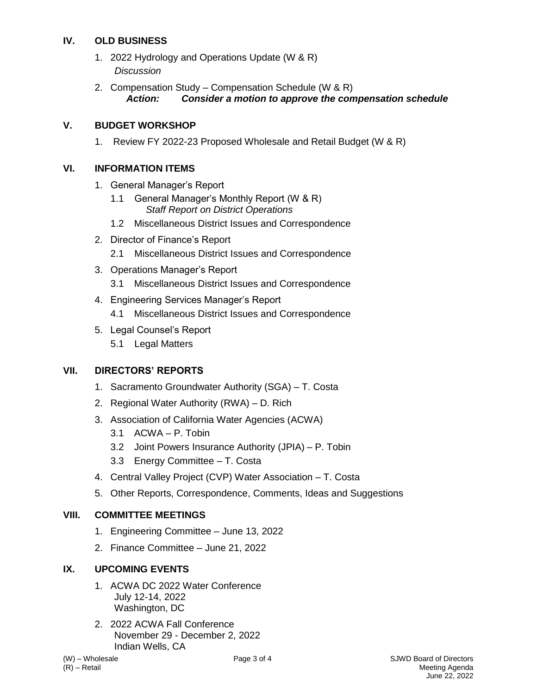# **IV. OLD BUSINESS**

- 1. 2022 Hydrology and Operations Update (W & R) *Discussion*
- 2. Compensation Study Compensation Schedule (W & R) *Action: Consider a motion to approve the compensation schedule*

# **V. BUDGET WORKSHOP**

1. Review FY 2022-23 Proposed Wholesale and Retail Budget (W & R)

## **VI. INFORMATION ITEMS**

- 1. General Manager's Report
	- 1.1 General Manager's Monthly Report (W & R) *Staff Report on District Operations*
	- 1.2 Miscellaneous District Issues and Correspondence
- 2. Director of Finance's Report
	- 2.1 Miscellaneous District Issues and Correspondence
- 3. Operations Manager's Report
	- 3.1 Miscellaneous District Issues and Correspondence
- 4. Engineering Services Manager's Report 4.1 Miscellaneous District Issues and Correspondence
- 5. Legal Counsel's Report
- 5.1 Legal Matters

## **VII. DIRECTORS' REPORTS**

- 1. Sacramento Groundwater Authority (SGA) T. Costa
- 2. Regional Water Authority (RWA) D. Rich
- 3. Association of California Water Agencies (ACWA)
	- 3.1 ACWA P. Tobin
	- 3.2 Joint Powers Insurance Authority (JPIA) P. Tobin
	- 3.3 Energy Committee T. Costa
- 4. Central Valley Project (CVP) Water Association T. Costa
- 5. Other Reports, Correspondence, Comments, Ideas and Suggestions

## **VIII. COMMITTEE MEETINGS**

- 1. Engineering Committee June 13, 2022
- 2. Finance Committee June 21, 2022

# **IX. UPCOMING EVENTS**

- 1. ACWA DC 2022 Water Conference July 12-14, 2022 Washington, DC
- 2. 2022 ACWA Fall Conference November 29 - December 2, 2022 Indian Wells, CA